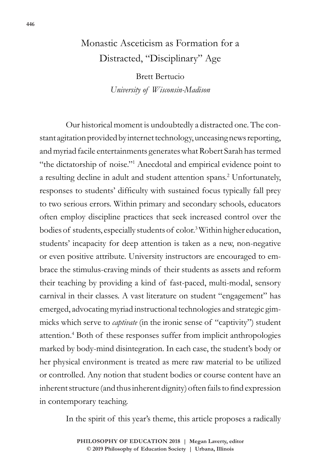# Monastic Asceticism as Formation for a Distracted, "Disciplinary" Age

Brett Bertucio *University of Wisconsin-Madison*

Our historical moment is undoubtedly a distracted one. The constant agitation provided by internet technology, unceasing news reporting, and myriad facile entertainments generates what Robert Sarah has termed "the dictatorship of noise."<sup>1</sup> Anecdotal and empirical evidence point to a resulting decline in adult and student attention spans.<sup>2</sup> Unfortunately, responses to students' difficulty with sustained focus typically fall prey to two serious errors. Within primary and secondary schools, educators often employ discipline practices that seek increased control over the bodies of students, especially students of color.<sup>3</sup> Within higher education, students' incapacity for deep attention is taken as a new, non-negative or even positive attribute. University instructors are encouraged to embrace the stimulus-craving minds of their students as assets and reform their teaching by providing a kind of fast-paced, multi-modal, sensory carnival in their classes. A vast literature on student "engagement" has emerged, advocating myriad instructional technologies and strategic gimmicks which serve to *captivate* (in the ironic sense of "captivity") student attention.4 Both of these responses suffer from implicit anthropologies marked by body-mind disintegration. In each case, the student's body or her physical environment is treated as mere raw material to be utilized or controlled. Any notion that student bodies or course content have an inherent structure (and thus inherent dignity) often fails to find expression in contemporary teaching.

In the spirit of this year's theme, this article proposes a radically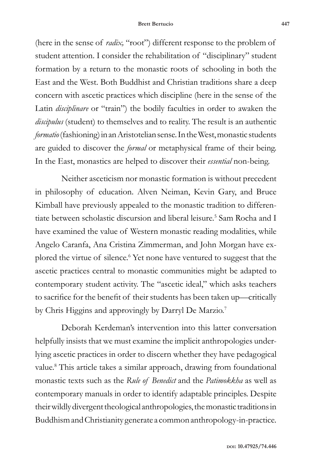#### **Brett Bertucio 447**

(here in the sense of *radix*, "root") different response to the problem of student attention. I consider the rehabilitation of "disciplinary" student formation by a return to the monastic roots of schooling in both the East and the West. Both Buddhist and Christian traditions share a deep concern with ascetic practices which discipline (here in the sense of the Latin *disciplinare* or "train") the bodily faculties in order to awaken the *discipulus* (student) to themselves and to reality. The result is an authentic *formatio* (fashioning) in an Aristotelian sense. In the West, monastic students are guided to discover the *formal* or metaphysical frame of their being. In the East, monastics are helped to discover their *essential* non-being.

Neither asceticism nor monastic formation is without precedent in philosophy of education. Alven Neiman, Kevin Gary, and Bruce Kimball have previously appealed to the monastic tradition to differentiate between scholastic discursion and liberal leisure.<sup>5</sup> Sam Rocha and I have examined the value of Western monastic reading modalities, while Angelo Caranfa, Ana Cristina Zimmerman, and John Morgan have explored the virtue of silence.<sup>6</sup> Yet none have ventured to suggest that the ascetic practices central to monastic communities might be adapted to contemporary student activity. The "ascetic ideal," which asks teachers to sacrifice for the benefit of their students has been taken up—critically by Chris Higgins and approvingly by Darryl De Marzio.7

Deborah Kerdeman's intervention into this latter conversation helpfully insists that we must examine the implicit anthropologies underlying ascetic practices in order to discern whether they have pedagogical value.8 This article takes a similar approach, drawing from foundational monastic texts such as the *Rule of Benedict* and the *Patimokkha* as well as contemporary manuals in order to identify adaptable principles. Despite their wildly divergent theological anthropologies, the monastic traditions in Buddhism and Christianity generate a common anthropology-in-practice.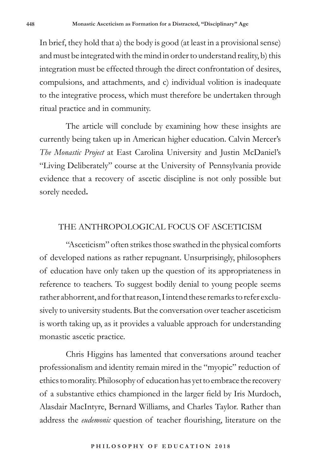In brief, they hold that a) the body is good (at least in a provisional sense) and must be integrated with the mind in order to understand reality, b) this integration must be effected through the direct confrontation of desires, compulsions, and attachments, and c) individual volition is inadequate to the integrative process, which must therefore be undertaken through ritual practice and in community.

The article will conclude by examining how these insights are currently being taken up in American higher education. Calvin Mercer's *The Monastic Project* at East Carolina University and Justin McDaniel's "Living Deliberately" course at the University of Pennsylvania provide evidence that a recovery of ascetic discipline is not only possible but sorely needed**.**

### THE ANTHROPOLOGICAL FOCUS OF ASCETICISM

"Asceticism" often strikes those swathed in the physical comforts of developed nations as rather repugnant. Unsurprisingly, philosophers of education have only taken up the question of its appropriateness in reference to teachers. To suggest bodily denial to young people seems rather abhorrent, and for that reason, I intend these remarks to refer exclusively to university students. But the conversation over teacher asceticism is worth taking up, as it provides a valuable approach for understanding monastic ascetic practice.

Chris Higgins has lamented that conversations around teacher professionalism and identity remain mired in the "myopic" reduction of ethics to morality. Philosophy of education has yet to embrace the recovery of a substantive ethics championed in the larger field by Iris Murdoch, Alasdair MacIntyre, Bernard Williams, and Charles Taylor. Rather than address the *eudemonic* question of teacher flourishing, literature on the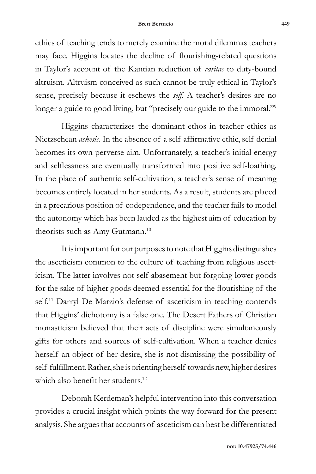#### **Brett Bertucio 449**

ethics of teaching tends to merely examine the moral dilemmas teachers may face. Higgins locates the decline of flourishing-related questions in Taylor's account of the Kantian reduction of *caritas* to duty-bound altruism. Altruism conceived as such cannot be truly ethical in Taylor's sense, precisely because it eschews the *self*. A teacher's desires are no longer a guide to good living, but "precisely our guide to the immoral."<sup>9</sup>

Higgins characterizes the dominant ethos in teacher ethics as Nietzschean *askesis*. In the absence of a self-affirmative ethic, self-denial becomes its own perverse aim. Unfortunately, a teacher's initial energy and selflessness are eventually transformed into positive self-loathing. In the place of authentic self-cultivation, a teacher's sense of meaning becomes entirely located in her students. As a result, students are placed in a precarious position of codependence, and the teacher fails to model the autonomy which has been lauded as the highest aim of education by theorists such as Amy Gutmann.<sup>10</sup>

It is important for our purposes to note that Higgins distinguishes the asceticism common to the culture of teaching from religious asceticism. The latter involves not self-abasement but forgoing lower goods for the sake of higher goods deemed essential for the flourishing of the self.<sup>11</sup> Darryl De Marzio's defense of asceticism in teaching contends that Higgins' dichotomy is a false one. The Desert Fathers of Christian monasticism believed that their acts of discipline were simultaneously gifts for others and sources of self-cultivation. When a teacher denies herself an object of her desire, she is not dismissing the possibility of self-fulfillment. Rather, she is orienting herself towards new, higher desires which also benefit her students.<sup>12</sup>

Deborah Kerdeman's helpful intervention into this conversation provides a crucial insight which points the way forward for the present analysis. She argues that accounts of asceticism can best be differentiated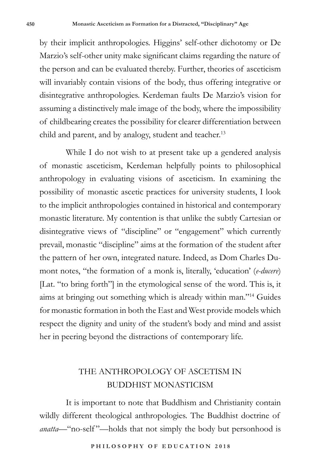by their implicit anthropologies. Higgins' self-other dichotomy or De Marzio's self-other unity make significant claims regarding the nature of the person and can be evaluated thereby. Further, theories of asceticism will invariably contain visions of the body, thus offering integrative or disintegrative anthropologies. Kerdeman faults De Marzio's vision for assuming a distinctively male image of the body, where the impossibility of childbearing creates the possibility for clearer differentiation between child and parent, and by analogy, student and teacher.<sup>13</sup>

While I do not wish to at present take up a gendered analysis of monastic asceticism, Kerdeman helpfully points to philosophical anthropology in evaluating visions of asceticism. In examining the possibility of monastic ascetic practices for university students, I look to the implicit anthropologies contained in historical and contemporary monastic literature. My contention is that unlike the subtly Cartesian or disintegrative views of "discipline" or "engagement" which currently prevail, monastic "discipline" aims at the formation of the student after the pattern of her own, integrated nature. Indeed, as Dom Charles Dumont notes, "the formation of a monk is, literally, 'education' (*e-ducere*) [Lat. "to bring forth"] in the etymological sense of the word. This is, it aims at bringing out something which is already within man."14 Guides for monastic formation in both the East and West provide models which respect the dignity and unity of the student's body and mind and assist her in peering beyond the distractions of contemporary life.

## THE ANTHROPOLOGY OF ASCETISM IN BUDDHIST MONASTICISM

It is important to note that Buddhism and Christianity contain wildly different theological anthropologies. The Buddhist doctrine of *anatta*—"no-self"—holds that not simply the body but personhood is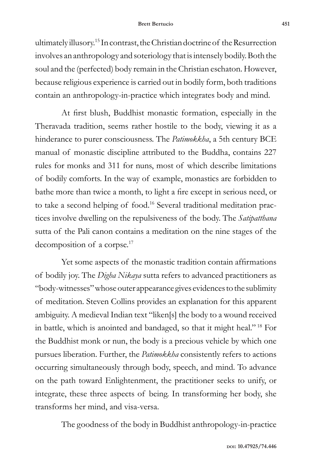### **Brett Bertucio 451**

ultimately illusory.15 In contrast, the Christian doctrine of the Resurrection involves an anthropology and soteriology that is intensely bodily. Both the soul and the (perfected) body remain in the Christian eschaton. However, because religious experience is carried out in bodily form, both traditions contain an anthropology-in-practice which integrates body and mind.

At first blush, Buddhist monastic formation, especially in the Theravada tradition, seems rather hostile to the body, viewing it as a hinderance to purer consciousness. The *Patimokkha*, a 5th century BCE manual of monastic discipline attributed to the Buddha, contains 227 rules for monks and 311 for nuns, most of which describe limitations of bodily comforts. In the way of example, monastics are forbidden to bathe more than twice a month, to light a fire except in serious need, or to take a second helping of food.16 Several traditional meditation practices involve dwelling on the repulsiveness of the body. The *Satipatthana* sutta of the Pali canon contains a meditation on the nine stages of the decomposition of a corpse.<sup>17</sup>

Yet some aspects of the monastic tradition contain affirmations of bodily joy. The *Digha Nikaya* sutta refers to advanced practitioners as "body-witnesses" whose outer appearance gives evidences to the sublimity of meditation. Steven Collins provides an explanation for this apparent ambiguity. A medieval Indian text "liken[s] the body to a wound received in battle, which is anointed and bandaged, so that it might heal." 18 For the Buddhist monk or nun, the body is a precious vehicle by which one pursues liberation. Further, the *Patimokkha* consistently refers to actions occurring simultaneously through body, speech, and mind. To advance on the path toward Enlightenment, the practitioner seeks to unify, or integrate, these three aspects of being. In transforming her body, she transforms her mind, and visa-versa.

The goodness of the body in Buddhist anthropology-in-practice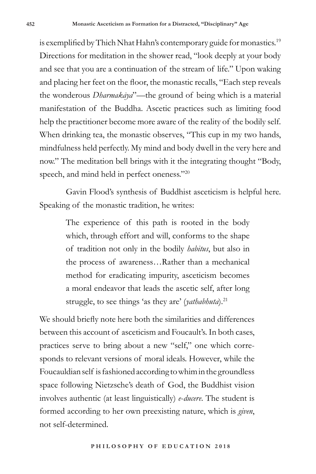is exemplified by Thich Nhat Hahn's contemporary guide for monastics.<sup>19</sup> Directions for meditation in the shower read, "look deeply at your body and see that you are a continuation of the stream of life." Upon waking and placing her feet on the floor, the monastic recalls, "Each step reveals the wonderous *Dharmakāya*"—the ground of being which is a material manifestation of the Buddha. Ascetic practices such as limiting food help the practitioner become more aware of the reality of the bodily self. When drinking tea, the monastic observes, "This cup in my two hands, mindfulness held perfectly. My mind and body dwell in the very here and now." The meditation bell brings with it the integrating thought "Body, speech, and mind held in perfect oneness."20

Gavin Flood's synthesis of Buddhist asceticism is helpful here. Speaking of the monastic tradition, he writes:

> The experience of this path is rooted in the body which, through effort and will, conforms to the shape of tradition not only in the bodily *habitus*, but also in the process of awareness…Rather than a mechanical method for eradicating impurity, asceticism becomes a moral endeavor that leads the ascetic self, after long struggle, to see things 'as they are' (*yathabhuta*).<sup>21</sup>

We should briefly note here both the similarities and differences between this account of asceticism and Foucault's. In both cases, practices serve to bring about a new "self," one which corresponds to relevant versions of moral ideals. However, while the Foucauldian self is fashioned according to whim in the groundless space following Nietzsche's death of God, the Buddhist vision involves authentic (at least linguistically) *e*-*ducere*. The student is formed according to her own preexisting nature, which is *given*, not self-determined.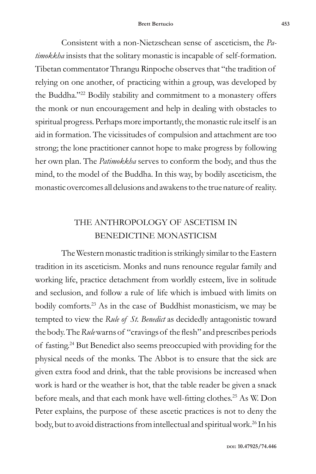Consistent with a non-Nietzschean sense of asceticism, the *Patimokkha* insists that the solitary monastic is incapable of self-formation. Tibetan commentator Thrangu Rinpoche observes that "the tradition of relying on one another, of practicing within a group, was developed by the Buddha."22 Bodily stability and commitment to a monastery offers the monk or nun encouragement and help in dealing with obstacles to spiritual progress. Perhaps more importantly, the monastic rule itself is an aid in formation. The vicissitudes of compulsion and attachment are too strong; the lone practitioner cannot hope to make progress by following her own plan. The *Patimokkha* serves to conform the body, and thus the mind, to the model of the Buddha. In this way, by bodily asceticism, the monastic overcomes all delusions and awakens to the true nature of reality.

## THE ANTHROPOLOGY OF ASCETISM IN BENEDICTINE MONASTICISM

The Western monastic tradition is strikingly similar to the Eastern tradition in its asceticism. Monks and nuns renounce regular family and working life, practice detachment from worldly esteem, live in solitude and seclusion, and follow a rule of life which is imbued with limits on bodily comforts.<sup>23</sup> As in the case of Buddhist monasticism, we may be tempted to view the *Rule of St. Benedict* as decidedly antagonistic toward the body. The *Rule* warns of "cravings of the flesh" and prescribes periods of fasting.24 But Benedict also seems preoccupied with providing for the physical needs of the monks. The Abbot is to ensure that the sick are given extra food and drink, that the table provisions be increased when work is hard or the weather is hot, that the table reader be given a snack before meals, and that each monk have well-fitting clothes.<sup>25</sup> As W. Don Peter explains, the purpose of these ascetic practices is not to deny the body, but to avoid distractions from intellectual and spiritual work.<sup>26</sup> In his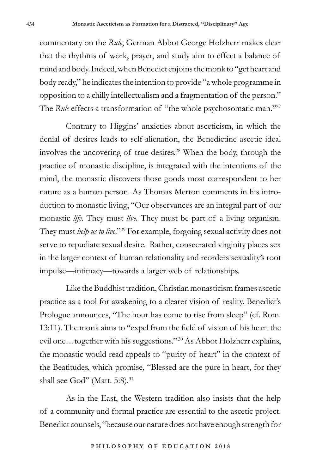commentary on the *Rule*, German Abbot George Holzherr makes clear that the rhythms of work, prayer, and study aim to effect a balance of mind and body. Indeed, when Benedict enjoins the monk to "get heart and body ready," he indicates the intention to provide "a whole programme in opposition to a chilly intellectualism and a fragmentation of the person." The *Rule* effects a transformation of "the whole psychosomatic man."<sup>27</sup>

Contrary to Higgins' anxieties about asceticism, in which the denial of desires leads to self-alienation, the Benedictine ascetic ideal involves the uncovering of true desires.<sup>28</sup> When the body, through the practice of monastic discipline, is integrated with the intentions of the mind, the monastic discovers those goods most correspondent to her nature as a human person. As Thomas Merton comments in his introduction to monastic living, "Our observances are an integral part of our monastic *life.* They must *live.* They must be part of a living organism. They must *help us to live*."29 For example, forgoing sexual activity does not serve to repudiate sexual desire. Rather, consecrated virginity places sex in the larger context of human relationality and reorders sexuality's root impulse—intimacy—towards a larger web of relationships.

Like the Buddhist tradition, Christian monasticism frames ascetic practice as a tool for awakening to a clearer vision of reality. Benedict's Prologue announces, "The hour has come to rise from sleep" (cf. Rom. 13:11). The monk aims to "expel from the field of vision of his heart the evil one…together with his suggestions." <sup>30</sup> As Abbot Holzherr explains, the monastic would read appeals to "purity of heart" in the context of the Beatitudes, which promise, "Blessed are the pure in heart, for they shall see God" (Matt. 5:8).<sup>31</sup>

As in the East, the Western tradition also insists that the help of a community and formal practice are essential to the ascetic project. Benedict counsels, "because our nature does not have enough strength for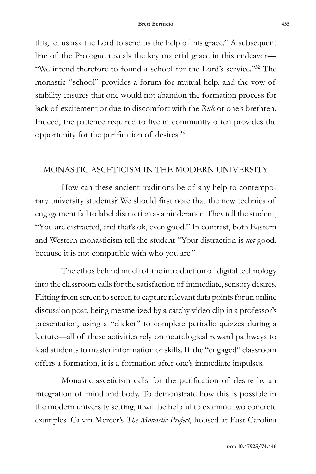this, let us ask the Lord to send us the help of his grace." A subsequent line of the Prologue reveals the key material grace in this endeavor— "We intend therefore to found a school for the Lord's service."<sup>32</sup> The monastic "school" provides a forum for mutual help, and the vow of stability ensures that one would not abandon the formation process for lack of excitement or due to discomfort with the *Rule* or one's brethren. Indeed, the patience required to live in community often provides the opportunity for the purification of desires.<sup>33</sup>

### MONASTIC ASCETICISM IN THE MODERN UNIVERSITY

How can these ancient traditions be of any help to contemporary university students? We should first note that the new technics of engagement fail to label distraction as a hinderance. They tell the student, "You are distracted, and that's ok, even good." In contrast, both Eastern and Western monasticism tell the student "Your distraction is *not* good, because it is not compatible with who you are."

The ethos behind much of the introduction of digital technology into the classroom calls for the satisfaction of immediate, sensory desires. Flitting from screen to screen to capture relevant data points for an online discussion post, being mesmerized by a catchy video clip in a professor's presentation, using a "clicker" to complete periodic quizzes during a lecture—all of these activities rely on neurological reward pathways to lead students to master information or skills. If the "engaged" classroom offers a formation, it is a formation after one's immediate impulses.

Monastic asceticism calls for the purification of desire by an integration of mind and body. To demonstrate how this is possible in the modern university setting, it will be helpful to examine two concrete examples. Calvin Mercer's *The Monastic Project*, housed at East Carolina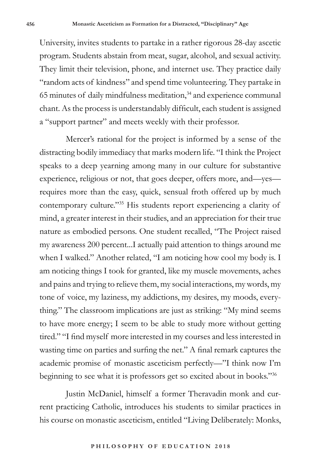University, invites students to partake in a rather rigorous 28-day ascetic program. Students abstain from meat, sugar, alcohol, and sexual activity. They limit their television, phone, and internet use. They practice daily "random acts of kindness" and spend time volunteering. They partake in  $65$  minutes of daily mindfulness meditation, $34$  and experience communal chant. As the process is understandably difficult, each student is assigned a "support partner" and meets weekly with their professor.

Mercer's rational for the project is informed by a sense of the distracting bodily immediacy that marks modern life. "I think the Project speaks to a deep yearning among many in our culture for substantive experience, religious or not, that goes deeper, offers more, and—yes requires more than the easy, quick, sensual froth offered up by much contemporary culture."35 His students report experiencing a clarity of mind, a greater interest in their studies, and an appreciation for their true nature as embodied persons. One student recalled, "The Project raised my awareness 200 percent...I actually paid attention to things around me when I walked." Another related, "I am noticing how cool my body is. I am noticing things I took for granted, like my muscle movements, aches and pains and trying to relieve them, my social interactions, my words, my tone of voice, my laziness, my addictions, my desires, my moods, everything." The classroom implications are just as striking: "My mind seems to have more energy; I seem to be able to study more without getting tired." "I find myself more interested in my courses and less interested in wasting time on parties and surfing the net." A final remark captures the academic promise of monastic asceticism perfectly—"I think now I'm beginning to see what it is professors get so excited about in books."<sup>36</sup>

Justin McDaniel, himself a former Theravadin monk and current practicing Catholic, introduces his students to similar practices in his course on monastic asceticism, entitled "Living Deliberately: Monks,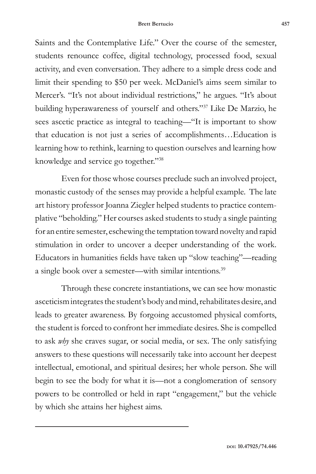Saints and the Contemplative Life." Over the course of the semester, students renounce coffee, digital technology, processed food, sexual activity, and even conversation. They adhere to a simple dress code and limit their spending to \$50 per week. McDaniel's aims seem similar to Mercer's. "It's not about individual restrictions," he argues. "It's about building hyperawareness of yourself and others."37 Like De Marzio, he sees ascetic practice as integral to teaching—"It is important to show that education is not just a series of accomplishments…Education is learning how to rethink, learning to question ourselves and learning how knowledge and service go together."38

Even for those whose courses preclude such an involved project, monastic custody of the senses may provide a helpful example. The late art history professor Joanna Ziegler helped students to practice contemplative "beholding." Her courses asked students to study a single painting for an entire semester, eschewing the temptation toward novelty and rapid stimulation in order to uncover a deeper understanding of the work. Educators in humanities fields have taken up "slow teaching"—reading a single book over a semester—with similar intentions.<sup>39</sup>

Through these concrete instantiations, we can see how monastic asceticism integrates the student's body and mind, rehabilitates desire, and leads to greater awareness. By forgoing accustomed physical comforts, the student is forced to confront her immediate desires. She is compelled to ask *why* she craves sugar, or social media, or sex. The only satisfying answers to these questions will necessarily take into account her deepest intellectual, emotional, and spiritual desires; her whole person. She will begin to see the body for what it is—not a conglomeration of sensory powers to be controlled or held in rapt "engagement," but the vehicle by which she attains her highest aims.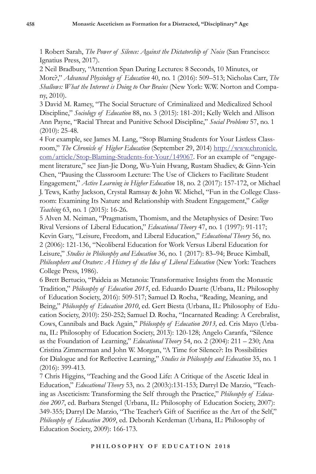1 Robert Sarah, *The Power of Silence: Against the Dictatorship of Noise* (San Francisco: Ignatius Press, 2017).

2 Neil Bradbury, "Attention Span During Lectures: 8 Seconds, 10 Minutes, or More?," *Advanced Physiology of Education* 40, no. 1 (2016): 509–513; Nicholas Carr, *The Shallows: What the Internet is Doing to Our Brains* (New York: W.W. Norton and Company, 2010).

3 David M. Ramey, "The Social Structure of Criminalized and Medicalized School Discipline," *Sociology of Education* 88, no. 3 (2015): 181-201; Kelly Welch and Allison Ann Payne, "Racial Threat and Punitive School Discipline," *Social Problems* 57, no. 1 (2010): 25-48.

4 For example, see James M. Lang, "Stop Blaming Students for Your Listless Classroom," *The Chronicle of Higher Education* (September 29, 2014) http://www.chronicle. com/article/Stop-Blaming-Students-for-Your/149067. For an example of "engagement literature," see Jian-Jie Dong, Wu-Yuin Hwang, Rustam Shadiev, & Ginn-Yein Chen, "Pausing the Classroom Lecture: The Use of Clickers to Facilitate Student Engagement," *Active Learning in Higher Education* 18, no. 2 (2017): 157-172, or Michael J. Tews, Kathy Jackson, Crystal Ramsay & John W. Michel, "Fun in the College Classroom: Examining Its Nature and Relationship with Student Engagement," *College Teaching* 63, no. 1 (2015): 16-26.

5 Alven M. Neiman, "Pragmatism, Thomism, and the Metaphysics of Desire: Two Rival Versions of Liberal Education," *Educational Theory* 47, no. 1 (1997): 91-117; Kevin Gary, "Leisure, Freedom, and Liberal Education," *Educational Theory* 56, no. 2 (2006): 121-136, "Neoliberal Education for Work Versus Liberal Education for Leisure," *Studies in Philosophy and Education* 36, no. 1 (2017): 83–94; Bruce Kimball, *Philosophers and Orators: A History of the Idea of Liberal Education (New York: Teachers* College Press, 1986).

6 Brett Bertucio, "Paideia as Metanoia: Transformative Insights from the Monastic Tradition," *Philosophy of Education 2015*, ed. Eduardo Duarte (Urbana, IL: Philosophy of Education Society, 2016): 509-517; Samuel D. Rocha, "Reading, Meaning, and Being," *Philosophy of Education 2010*, ed. Gert Biesta (Urbana, IL: Philosophy of Education Society, 2010): 250-252; Samuel D. Rocha, "Incarnated Reading: A Cerebralist, Cows, Cannibals and Back Again," *Philosophy of Education 2013,* ed. Cris Mayo (Urbana, IL: Philosophy of Education Society, 2013): 120-128; Angelo Caranfa, "Silence as the Foundation of Learning," *Educational Theory* 54, no. 2 (2004): 211 – 230; Ana Cristina Zimmerman and John W. Morgan, "A Time for Silence?: Its Possibilities for Dialogue and for Reflective Learning," *Studies in Philosophy and Education* 35, no. 1 (2016): 399-413.

7 Chris Higgins, "Teaching and the Good Life: A Critique of the Ascetic Ideal in Education," *Educational Theory* 53, no. 2 (2003:):131-153; Darryl De Marzio, "Teaching as Asceticism: Transforming the Self through the Practice," *Philosophy of Education 2007*, ed. Barbara Stengel (Urbana, IL: Philosophy of Education Society, 2007): 349-355; Darryl De Marzio, "The Teacher's Gift of Sacrifice as the Art of the Self," *Philosophy of Education 2009*, ed. Deborah Kerdeman (Urbana, IL: Philosophy of Education Society, 2009): 166-173.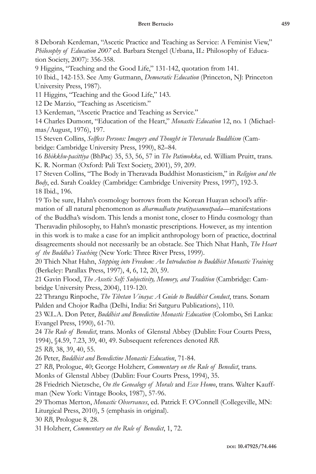8 Deborah Kerdeman, "Ascetic Practice and Teaching as Service: A Feminist View," *Philosophy of Education 2007* ed. Barbara Stengel (Urbana, IL: Philosophy of Education Society, 2007): 356-358.

9 Higgins, "Teaching and the Good Life," 131-142, quotation from 141.

10 Ibid., 142-153. See Amy Gutmann, *Democratic Education* (Princeton, NJ: Princeton University Press, 1987).

11 Higgins, "Teaching and the Good Life," 143.

12 De Marzio, "Teaching as Asceticism."

13 Kerdeman, "Ascetic Practice and Teaching as Service."

14 Charles Dumont, "Education of the Heart," *Monastic Education* 12, no. 1 (Michaelmas/August, 1976), 197.

15 Steven Collins, *Selfless Persons: Imagery and Thought in Theravada Buddhism* (Cambridge: Cambridge University Press, 1990), 82–84.

16 *Bhikkhu-pacittiya* (BhPac) 35, 53, 56, 57 in *The Patimokka*, ed. William Pruitt, trans. K. R. Norman (Oxford: Pali Text Society, 2001), 59, 209.

17 Steven Collins, "The Body in Theravada Buddhist Monasticism," in *Religion and the Body*, ed. Sarah Coakley (Cambridge: Cambridge University Press, 1997), 192-3. 18 Ibid., 196.

19 To be sure, Hahn's cosmology borrows from the Korean Huayan school's affirmation of all natural phenomenon as *dharmadhatu pratityasamutpada*—manifestations of the Buddha's wisdom. This lends a monist tone, closer to Hindu cosmology than Theravadin philosophy, to Hahn's monastic prescriptions. However, as my intention in this work is to make a case for an implicit anthropology born of practice, doctrinal disagreements should not necessarily be an obstacle. See Thich Nhat Hanh, *The Heart of the Buddha's Teaching* (New York: Three River Press, 1999).

20 Thich Nhat Hahn, *Stepping into Freedom: An Introduction to Buddhist Monastic Training* (Berkeley: Parallax Press, 1997), 4, 6, 12, 20, 59.

21 Gavin Flood, *The Ascetic Self: Subjectivity, Memory, and Tradition* (Cambridge: Cambridge University Press, 2004), 119-120.

22 Thrangu Rinpoche, *The Tibetan Vinaya: A Guide to Buddhist Conduct*, trans. Sonam Palden and Chojor Radha (Delhi, India: Sri Satguru Publications), 110.

23 W.L.A. Don Peter, *Buddhist and Benedictine Monastic Education* (Colombo, Sri Lanka: Evangel Press, 1990), 61-70.

24 *The Rule of Benedict*, trans. Monks of Glenstal Abbey (Dublin: Four Courts Press, 1994), §4.59, 7.23, 39, 40, 49. Subsequent references denoted *RB*.

25 *RB*, 38, 39, 40, 55.

26 Peter, *Buddhist and Benedictine Monastic Education*, 71-84.

27 *RB*, Prologue, 40; George Holzherr, *Commentary on the Rule of Benedict*, trans.

Monks of Glenstal Abbey (Dublin: Four Courts Press, 1994), 35.

28 Friedrich Nietzsche, *On the Genealogy of Morals* and *Ecce Homo*, trans. Walter Kauffman (New York: Vintage Books, 1987), 57-96.

29 Thomas Merton, *Monastic Observances*, ed. Patrick F. O'Connell (Collegeville, MN: Liturgical Press, 2010), 5 (emphasis in original).

30 *RB*, Prologue 8, 28.

31 Holzherr, *Commentary on the Rule of Benedict*, 1, 72.